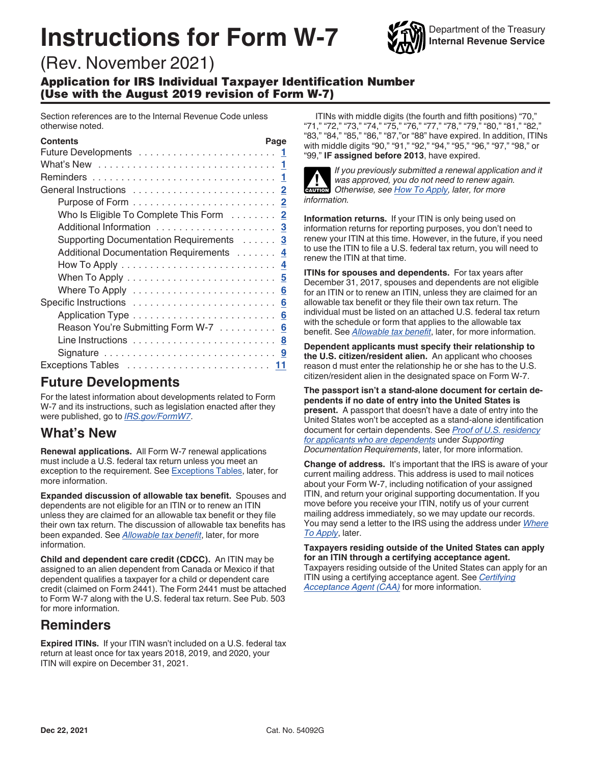# **Instructions for Form W-7**



## (Rev. November 2021)

Application for IRS Individual Taxpayer Identification Number (Use with the August 2019 revision of Form W-7)

Section references are to the Internal Revenue Code unless otherwise noted.

| <b>Contents</b>                         | Page |
|-----------------------------------------|------|
|                                         |      |
|                                         |      |
|                                         |      |
|                                         |      |
|                                         |      |
| Who Is Eligible To Complete This Form 2 |      |
|                                         |      |
| Supporting Documentation Requirements 3 |      |
| Additional Documentation Requirements 4 |      |
|                                         |      |
|                                         |      |
|                                         |      |
|                                         |      |
|                                         |      |
| Reason You're Submitting Form W-7 6     |      |
|                                         |      |
|                                         |      |
|                                         |      |

### **Future Developments**

For the latest information about developments related to Form W-7 and its instructions, such as legislation enacted after they were published, go to *[IRS.gov/FormW7](https://www.irs.gov/formw7)*.

## **What's New**

**Renewal applications.** All Form W-7 renewal applications must include a U.S. federal tax return unless you meet an exception to the requirement. See [Exceptions Tables,](#page-10-0) later, for more information.

**Expanded discussion of allowable tax benefit.** Spouses and dependents are not eligible for an ITIN or to renew an ITIN unless they are claimed for an allowable tax benefit or they file their own tax return. The discussion of allowable tax benefits has been expanded. See *[Allowable tax benefit](#page-1-0)*, later, for more information.

**Child and dependent care credit (CDCC).** An ITIN may be assigned to an alien dependent from Canada or Mexico if that dependent qualifies a taxpayer for a child or dependent care credit (claimed on Form 2441). The Form 2441 must be attached to Form W-7 along with the U.S. federal tax return. See Pub. 503 for more information.

## **Reminders**

**Expired ITINs.** If your ITIN wasn't included on a U.S. federal tax return at least once for tax years 2018, 2019, and 2020, your ITIN will expire on December 31, 2021.

ITINs with middle digits (the fourth and fifth positions) "70," "71," "72," "73," "74," "75," "76," "77," "78," "79," "80," "81," "82," "83," "84," "85," "86," "87,"or "88" have expired. In addition, ITINs with middle digits "90," "91," "92," "94," "95," "96," "97," "98," or "99," **IF assigned before 2013**, have expired.



*If you previously submitted a renewal application and it was approved, you do not need to renew again.*  **Otherwise, see [How To Apply](#page-3-0), later, for more CAUTION** *information.*

**Information returns.** If your ITIN is only being used on information returns for reporting purposes, you don't need to renew your ITIN at this time. However, in the future, if you need to use the ITIN to file a U.S. federal tax return, you will need to renew the ITIN at that time.

**ITINs for spouses and dependents.** For tax years after December 31, 2017, spouses and dependents are not eligible for an ITIN or to renew an ITIN, unless they are claimed for an allowable tax benefit or they file their own tax return. The individual must be listed on an attached U.S. federal tax return with the schedule or form that applies to the allowable tax benefit. See *[Allowable tax benefit](#page-1-0)*, later, for more information.

**Dependent applicants must specify their relationship to the U.S. citizen/resident alien.** An applicant who chooses reason d must enter the relationship he or she has to the U.S. citizen/resident alien in the designated space on Form W-7.

**The passport isn't a stand-alone document for certain dependents if no date of entry into the United States is present.** A passport that doesn't have a date of entry into the United States won't be accepted as a stand-alone identification document for certain dependents. See *[Proof of U.S. residency](#page-3-0)  [for applicants who are dependents](#page-3-0)* under *Supporting Documentation Requirements*, later, for more information.

**Change of address.** It's important that the IRS is aware of your current mailing address. This address is used to mail notices about your Form W-7, including notification of your assigned ITIN, and return your original supporting documentation. If you move before you receive your ITIN, notify us of your current mailing address immediately, so we may update our records. You may send a letter to the IRS using the address under *[Where](#page-5-0) [To Apply](#page-5-0)*, later.

**Taxpayers residing outside of the United States can apply for an ITIN through a certifying acceptance agent.**  Taxpayers residing outside of the United States can apply for an ITIN using a certifying acceptance agent. See *[Certifying](#page-5-0) [Acceptance Agent \(CAA\)](#page-5-0)* for more information.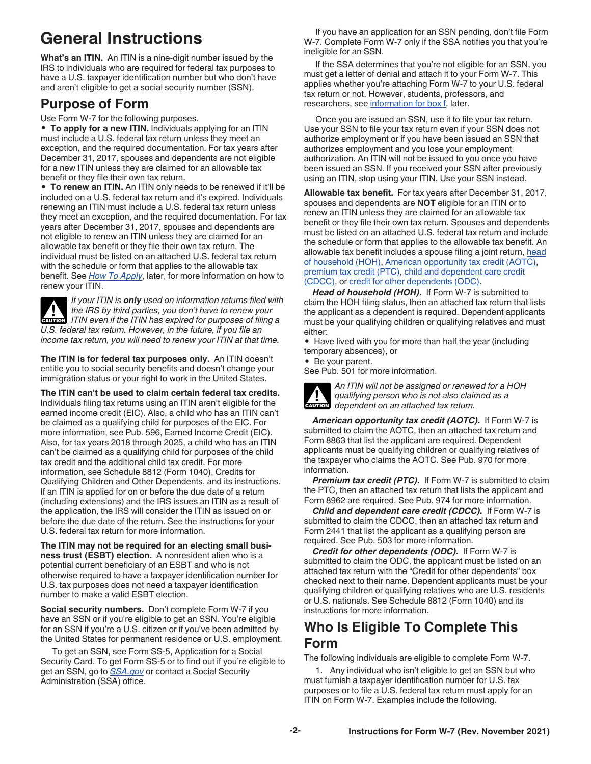## <span id="page-1-0"></span>**General Instructions**

**What's an ITIN.** An ITIN is a nine-digit number issued by the IRS to individuals who are required for federal tax purposes to have a U.S. taxpayer identification number but who don't have and aren't eligible to get a social security number (SSN).

## **Purpose of Form**

Use Form W-7 for the following purposes.

• **To apply for a new ITIN.** Individuals applying for an ITIN must include a U.S. federal tax return unless they meet an exception, and the required documentation. For tax years after December 31, 2017, spouses and dependents are not eligible for a new ITIN unless they are claimed for an allowable tax benefit or they file their own tax return.

• **To renew an ITIN.** An ITIN only needs to be renewed if it'll be included on a U.S. federal tax return and it's expired. Individuals renewing an ITIN must include a U.S. federal tax return unless they meet an exception, and the required documentation. For tax years after December 31, 2017, spouses and dependents are not eligible to renew an ITIN unless they are claimed for an allowable tax benefit or they file their own tax return. The individual must be listed on an attached U.S. federal tax return with the schedule or form that applies to the allowable tax benefit. See *[How To Apply](#page-3-0)*, later, for more information on how to renew your ITIN.

*If your ITIN is only used on information returns filed with the IRS by third parties, you don't have to renew your*  **ITIN** even if the ITIN has expired for purposes of filing a **CAUTION** *U.S. federal tax return. However, in the future, if you file an income tax return, you will need to renew your ITIN at that time.*

**The ITIN is for federal tax purposes only.** An ITIN doesn't entitle you to social security benefits and doesn't change your immigration status or your right to work in the United States.

**The ITIN can't be used to claim certain federal tax credits.**  Individuals filing tax returns using an ITIN aren't eligible for the earned income credit (EIC). Also, a child who has an ITIN can't be claimed as a qualifying child for purposes of the EIC. For more information, see Pub. 596, Earned Income Credit (EIC). Also, for tax years 2018 through 2025, a child who has an ITIN can't be claimed as a qualifying child for purposes of the child tax credit and the additional child tax credit. For more information, see Schedule 8812 (Form 1040), Credits for Qualifying Children and Other Dependents, and its instructions. If an ITIN is applied for on or before the due date of a return (including extensions) and the IRS issues an ITIN as a result of the application, the IRS will consider the ITIN as issued on or before the due date of the return. See the instructions for your U.S. federal tax return for more information.

**The ITIN may not be required for an electing small business trust (ESBT) election.** A nonresident alien who is a potential current beneficiary of an ESBT and who is not otherwise required to have a taxpayer identification number for U.S. tax purposes does not need a taxpayer identification number to make a valid ESBT election.

**Social security numbers.** Don't complete Form W-7 if you have an SSN or if you're eligible to get an SSN. You're eligible for an SSN if you're a U.S. citizen or if you've been admitted by the United States for permanent residence or U.S. employment.

To get an SSN, see Form SS-5, Application for a Social Security Card. To get Form SS-5 or to find out if you're eligible to get an SSN, go to *[SSA.gov](https://www.socialsecurity.gov)* or contact a Social Security Administration (SSA) office.

If you have an application for an SSN pending, don't file Form W-7. Complete Form W-7 only if the SSA notifies you that you're ineligible for an SSN.

If the SSA determines that you're not eligible for an SSN, you must get a letter of denial and attach it to your Form W-7. This applies whether you're attaching Form W-7 to your U.S. federal tax return or not. However, students, professors, and researchers, see [information for box f](#page-6-0), later.

Once you are issued an SSN, use it to file your tax return. Use your SSN to file your tax return even if your SSN does not authorize employment or if you have been issued an SSN that authorizes employment and you lose your employment authorization. An ITIN will not be issued to you once you have been issued an SSN. If you received your SSN after previously using an ITIN, stop using your ITIN. Use your SSN instead.

**Allowable tax benefit.** For tax years after December 31, 2017, spouses and dependents are **NOT** eligible for an ITIN or to renew an ITIN unless they are claimed for an allowable tax benefit or they file their own tax return. Spouses and dependents must be listed on an attached U.S. federal tax return and include the schedule or form that applies to the allowable tax benefit. An allowable tax benefit includes a spouse filing a joint return, head of household (HOH), American opportunity tax credit (AOTC), premium tax credit (PTC), child and dependent care credit (CDCC), or credit for other dependents (ODC).

*Head of household (HOH).* If Form W-7 is submitted to claim the HOH filing status, then an attached tax return that lists the applicant as a dependent is required. Dependent applicants must be your qualifying children or qualifying relatives and must either:

• Have lived with you for more than half the year (including temporary absences), or

• Be your parent.

See Pub. 501 for more information.



*An ITIN will not be assigned or renewed for a HOH qualifying person who is not also claimed as a*  **dependent on an attached tax return.**<br> **CAUTION** dependent on an attached tax return.

*American opportunity tax credit (AOTC).* If Form W-7 is submitted to claim the AOTC, then an attached tax return and Form 8863 that list the applicant are required. Dependent applicants must be qualifying children or qualifying relatives of the taxpayer who claims the AOTC. See Pub. 970 for more information.

*Premium tax credit (PTC).* If Form W-7 is submitted to claim the PTC, then an attached tax return that lists the applicant and Form 8962 are required. See Pub. 974 for more information.

*Child and dependent care credit (CDCC).* If Form W-7 is submitted to claim the CDCC, then an attached tax return and Form 2441 that list the applicant as a qualifying person are required. See Pub. 503 for more information.

*Credit for other dependents (ODC).* If Form W-7 is submitted to claim the ODC, the applicant must be listed on an attached tax return with the "Credit for other dependents" box checked next to their name. Dependent applicants must be your qualifying children or qualifying relatives who are U.S. residents or U.S. nationals. See Schedule 8812 (Form 1040) and its instructions for more information.

## **Who Is Eligible To Complete This Form**

The following individuals are eligible to complete Form W-7.

1. Any individual who isn't eligible to get an SSN but who must furnish a taxpayer identification number for U.S. tax purposes or to file a U.S. federal tax return must apply for an ITIN on Form W-7. Examples include the following.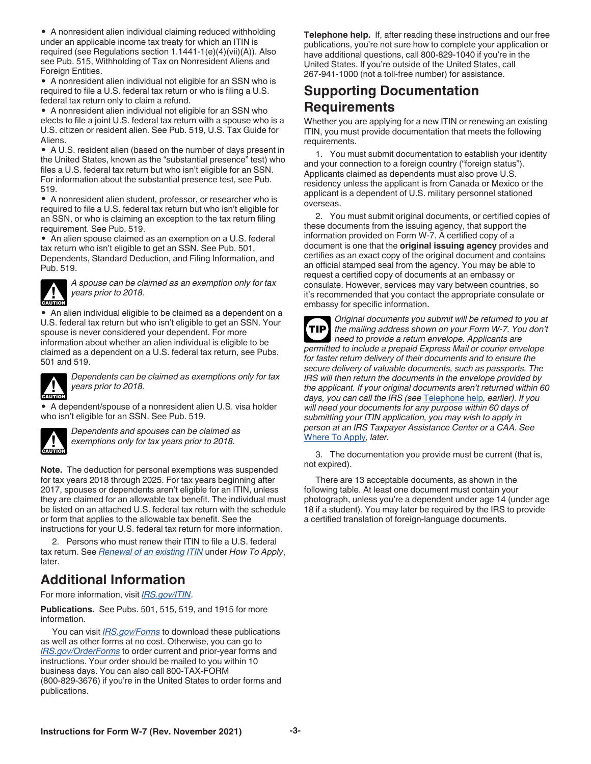<span id="page-2-0"></span>• A nonresident alien individual claiming reduced withholding under an applicable income tax treaty for which an ITIN is required (see Regulations section 1.1441-1(e)(4)(vii)(A)). Also see Pub. 515, Withholding of Tax on Nonresident Aliens and Foreign Entities.

• A nonresident alien individual not eligible for an SSN who is required to file a U.S. federal tax return or who is filing a U.S. federal tax return only to claim a refund.

• A nonresident alien individual not eligible for an SSN who elects to file a joint U.S. federal tax return with a spouse who is a U.S. citizen or resident alien. See Pub. 519, U.S. Tax Guide for Aliens.

• A U.S. resident alien (based on the number of days present in the United States, known as the "substantial presence" test) who files a U.S. federal tax return but who isn't eligible for an SSN. For information about the substantial presence test, see Pub. 519.

• A nonresident alien student, professor, or researcher who is required to file a U.S. federal tax return but who isn't eligible for an SSN, or who is claiming an exception to the tax return filing requirement. See Pub. 519.

• An alien spouse claimed as an exemption on a U.S. federal tax return who isn't eligible to get an SSN. See Pub. 501, Dependents, Standard Deduction, and Filing Information, and Pub. 519.



*A spouse can be claimed as an exemption only for tax years prior to 2018.*

• An alien individual eligible to be claimed as a dependent on a U.S. federal tax return but who isn't eligible to get an SSN. Your spouse is never considered your dependent. For more information about whether an alien individual is eligible to be claimed as a dependent on a U.S. federal tax return, see Pubs. 501 and 519.



*Dependents can be claimed as exemptions only for tax years prior to 2018.*

• A dependent/spouse of a nonresident alien U.S. visa holder who isn't eligible for an SSN. See Pub. 519.



*Dependents and spouses can be claimed as exemptions only for tax years prior to 2018.*

**Note.** The deduction for personal exemptions was suspended for tax years 2018 through 2025. For tax years beginning after 2017, spouses or dependents aren't eligible for an ITIN, unless they are claimed for an allowable tax benefit. The individual must be listed on an attached U.S. federal tax return with the schedule or form that applies to the allowable tax benefit. See the instructions for your U.S. federal tax return for more information.

2. Persons who must renew their ITIN to file a U.S. federal tax return. See *[Renewal of an existing ITIN](#page-4-0)* under *How To Apply*, later.

## **Additional Information**

For more information, visit *[IRS.gov/ITIN](https://www.irs.gov/itin)*.

**Publications.** See Pubs. 501, 515, 519, and 1915 for more information.

You can visit *[IRS.gov/Forms](https://www.irs.gov/forms)* to download these publications as well as other forms at no cost. Otherwise, you can go to *[IRS.gov/OrderForms](https://www.irs.gov/orderforms)* to order current and prior-year forms and instructions. Your order should be mailed to you within 10 business days. You can also call 800-TAX-FORM (800-829-3676) if you're in the United States to order forms and publications.

**Telephone help.** If, after reading these instructions and our free publications, you're not sure how to complete your application or have additional questions, call 800-829-1040 if you're in the United States. If you're outside of the United States, call 267-941-1000 (not a toll-free number) for assistance.

## **Supporting Documentation Requirements**

Whether you are applying for a new ITIN or renewing an existing ITIN, you must provide documentation that meets the following requirements.

1. You must submit documentation to establish your identity and your connection to a foreign country ("foreign status"). Applicants claimed as dependents must also prove U.S. residency unless the applicant is from Canada or Mexico or the applicant is a dependent of U.S. military personnel stationed overseas.

2. You must submit original documents, or certified copies of these documents from the issuing agency, that support the information provided on Form W-7. A certified copy of a document is one that the **original issuing agency** provides and certifies as an exact copy of the original document and contains an official stamped seal from the agency. You may be able to request a certified copy of documents at an embassy or consulate. However, services may vary between countries, so it's recommended that you contact the appropriate consulate or embassy for specific information.

*Original documents you submit will be returned to you at the mailing address shown on your Form W-7. You don't need to provide a return envelope. Applicants are permitted to include a prepaid Express Mail or courier envelope for faster return delivery of their documents and to ensure the secure delivery of valuable documents, such as passports. The IRS will then return the documents in the envelope provided by the applicant. If your original documents aren't returned within 60 days, you can call the IRS (see* Telephone help*, earlier). If you will need your documents for any purpose within 60 days of submitting your ITIN application, you may wish to apply in person at an IRS Taxpayer Assistance Center or a CAA. See*  [Where To Apply](#page-5-0)*, later.* **TIP**

3. The documentation you provide must be current (that is, not expired).

There are 13 acceptable documents, as shown in the following table. At least one document must contain your photograph, unless you're a dependent under age 14 (under age 18 if a student). You may later be required by the IRS to provide a certified translation of foreign-language documents.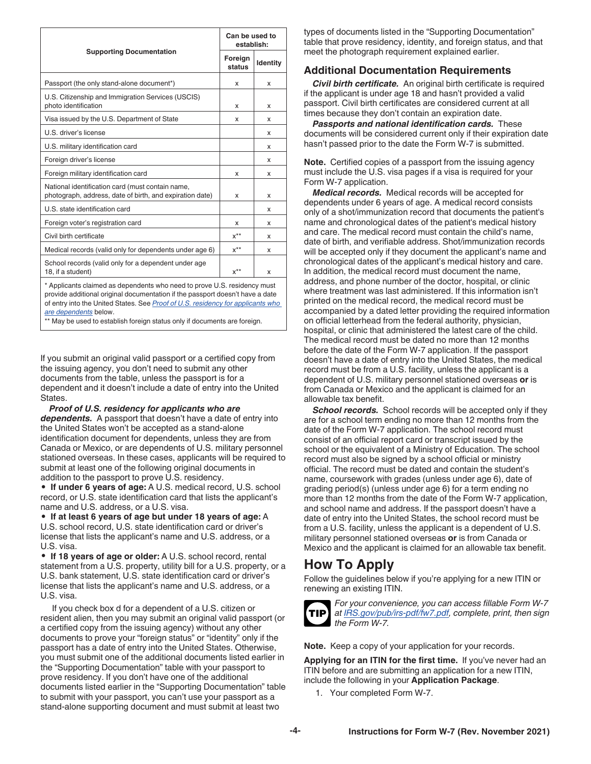<span id="page-3-0"></span>

|                                                                                                                                                           |                   | Can be used to<br>establish: |  |
|-----------------------------------------------------------------------------------------------------------------------------------------------------------|-------------------|------------------------------|--|
| <b>Supporting Documentation</b>                                                                                                                           | Foreign<br>status | Identity                     |  |
| Passport (the only stand-alone document*)                                                                                                                 | x                 | x                            |  |
| U.S. Citizenship and Immigration Services (USCIS)<br>photo identification                                                                                 | x                 | x                            |  |
| Visa issued by the U.S. Department of State                                                                                                               | x                 | x                            |  |
| U.S. driver's license                                                                                                                                     |                   | x                            |  |
| U.S. military identification card                                                                                                                         |                   | x                            |  |
| Foreign driver's license                                                                                                                                  |                   | x                            |  |
| Foreign military identification card                                                                                                                      | x                 | x                            |  |
| National identification card (must contain name,<br>photograph, address, date of birth, and expiration date)                                              | x                 | x                            |  |
| U.S. state identification card                                                                                                                            |                   | x                            |  |
| Foreign voter's registration card                                                                                                                         | x                 | x                            |  |
| Civil birth certificate                                                                                                                                   | $x^{**}$          | x                            |  |
| Medical records (valid only for dependents under age 6)                                                                                                   | $x^{**}$          | x                            |  |
| School records (valid only for a dependent under age<br>18, if a student)                                                                                 | $x^{**}$          | x                            |  |
| * Applicants claimed as dependents who need to prove U.S. residency must<br>provide additional original documentation if the passport doesn't have a date |                   |                              |  |

provide additional original documentation if the passport doesn't have a date of entry into the United States. See *Proof of U.S. residency for applicants who are dependents* below.

\*\* May be used to establish foreign status only if documents are foreign.

If you submit an original valid passport or a certified copy from the issuing agency, you don't need to submit any other documents from the table, unless the passport is for a dependent and it doesn't include a date of entry into the United States.

*Proof of U.S. residency for applicants who are dependents.* A passport that doesn't have a date of entry into the United States won't be accepted as a stand-alone identification document for dependents, unless they are from Canada or Mexico, or are dependents of U.S. military personnel stationed overseas. In these cases, applicants will be required to submit at least one of the following original documents in addition to the passport to prove U.S. residency.

• **If under 6 years of age:** A U.S. medical record, U.S. school record, or U.S. state identification card that lists the applicant's name and U.S. address, or a U.S. visa.

• **If at least 6 years of age but under 18 years of age:** A U.S. school record, U.S. state identification card or driver's license that lists the applicant's name and U.S. address, or a U.S. visa.

• **If 18 years of age or older:** A U.S. school record, rental statement from a U.S. property, utility bill for a U.S. property, or a U.S. bank statement, U.S. state identification card or driver's license that lists the applicant's name and U.S. address, or a U.S. visa.

If you check box d for a dependent of a U.S. citizen or resident alien, then you may submit an original valid passport (or a certified copy from the issuing agency) without any other documents to prove your "foreign status" or "identity" only if the passport has a date of entry into the United States. Otherwise, you must submit one of the additional documents listed earlier in the "Supporting Documentation" table with your passport to prove residency. If you don't have one of the additional documents listed earlier in the "Supporting Documentation" table to submit with your passport, you can't use your passport as a stand-alone supporting document and must submit at least two

types of documents listed in the "Supporting Documentation" table that prove residency, identity, and foreign status, and that meet the photograph requirement explained earlier.

### **Additional Documentation Requirements**

*Civil birth certificate.* An original birth certificate is required if the applicant is under age 18 and hasn't provided a valid passport. Civil birth certificates are considered current at all times because they don't contain an expiration date.

*Passports and national identification cards.* These documents will be considered current only if their expiration date hasn't passed prior to the date the Form W-7 is submitted.

**Note.** Certified copies of a passport from the issuing agency must include the U.S. visa pages if a visa is required for your Form W-7 application.

*Medical records.* Medical records will be accepted for dependents under 6 years of age. A medical record consists only of a shot/immunization record that documents the patient's name and chronological dates of the patient's medical history and care. The medical record must contain the child's name, date of birth, and verifiable address. Shot/immunization records will be accepted only if they document the applicant's name and chronological dates of the applicant's medical history and care. In addition, the medical record must document the name, address, and phone number of the doctor, hospital, or clinic where treatment was last administered. If this information isn't printed on the medical record, the medical record must be accompanied by a dated letter providing the required information on official letterhead from the federal authority, physician, hospital, or clinic that administered the latest care of the child. The medical record must be dated no more than 12 months before the date of the Form W-7 application. If the passport doesn't have a date of entry into the United States, the medical record must be from a U.S. facility, unless the applicant is a dependent of U.S. military personnel stationed overseas **or** is from Canada or Mexico and the applicant is claimed for an allowable tax benefit.

**School records.** School records will be accepted only if they are for a school term ending no more than 12 months from the date of the Form W-7 application. The school record must consist of an official report card or transcript issued by the school or the equivalent of a Ministry of Education. The school record must also be signed by a school official or ministry official. The record must be dated and contain the student's name, coursework with grades (unless under age 6), date of grading period(s) (unless under age 6) for a term ending no more than 12 months from the date of the Form W-7 application, and school name and address. If the passport doesn't have a date of entry into the United States, the school record must be from a U.S. facility, unless the applicant is a dependent of U.S. military personnel stationed overseas **or** is from Canada or Mexico and the applicant is claimed for an allowable tax benefit.

## **How To Apply**

Follow the guidelines below if you're applying for a new ITIN or renewing an existing ITIN.



*For your convenience, you can access fillable Form W-7 at [IRS.gov/pub/irs-pdf/fw7.pdf](https://www.irs.gov/pub/irs-pdf/fw7.pdf), complete, print, then sign the Form W-7.*

**Note.** Keep a copy of your application for your records.

**Applying for an ITIN for the first time.** If you've never had an ITIN before and are submitting an application for a new ITIN, include the following in your **Application Package**.

1. Your completed Form W-7.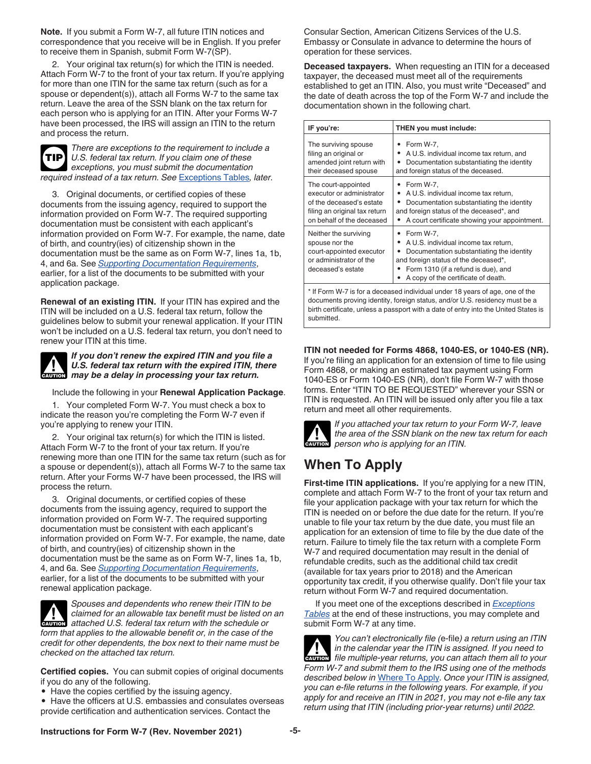<span id="page-4-0"></span>**Note.** If you submit a Form W-7, all future ITIN notices and correspondence that you receive will be in English. If you prefer to receive them in Spanish, submit Form W-7(SP).

2. Your original tax return(s) for which the ITIN is needed. Attach Form W-7 to the front of your tax return. If you're applying for more than one ITIN for the same tax return (such as for a spouse or dependent(s)), attach all Forms W-7 to the same tax return. Leave the area of the SSN blank on the tax return for each person who is applying for an ITIN. After your Forms W-7 have been processed, the IRS will assign an ITIN to the return and process the return.



*There are exceptions to the requirement to include a U.S. federal tax return. If you claim one of these exceptions, you must submit the documentation required instead of a tax return. See* [Exceptions Tables](#page-10-0)*, later.*

3. Original documents, or certified copies of these documents from the issuing agency, required to support the information provided on Form W-7. The required supporting documentation must be consistent with each applicant's information provided on Form W-7. For example, the name, date of birth, and country(ies) of citizenship shown in the documentation must be the same as on Form W-7, lines 1a, 1b, 4, and 6a. See *[Supporting Documentation Requirements](#page-2-0)*, earlier, for a list of the documents to be submitted with your application package.

**Renewal of an existing ITIN.** If your ITIN has expired and the ITIN will be included on a U.S. federal tax return, follow the guidelines below to submit your renewal application. If your ITIN won't be included on a U.S. federal tax return, you don't need to renew your ITIN at this time.



*If you don't renew the expired ITIN and you file a U.S. federal tax return with the expired ITIN, there May be a delay in processing your tax return.***<br>
<b>CAUTION** may be a delay in processing your tax return.

Include the following in your **Renewal Application Package**.

1. Your completed Form W-7. You must check a box to indicate the reason you're completing the Form W-7 even if you're applying to renew your ITIN.

2. Your original tax return(s) for which the ITIN is listed. Attach Form W-7 to the front of your tax return. If you're renewing more than one ITIN for the same tax return (such as for a spouse or dependent(s)), attach all Forms W-7 to the same tax return. After your Forms W-7 have been processed, the IRS will process the return.

3. Original documents, or certified copies of these documents from the issuing agency, required to support the information provided on Form W-7. The required supporting documentation must be consistent with each applicant's information provided on Form W-7. For example, the name, date of birth, and country(ies) of citizenship shown in the documentation must be the same as on Form W-7, lines 1a, 1b, 4, and 6a. See *[Supporting Documentation Requirements](#page-2-0)*, earlier, for a list of the documents to be submitted with your renewal application package.



*Spouses and dependents who renew their ITIN to be claimed for an allowable tax benefit must be listed on an*  **z** *attached U.S. federal tax benefit must be listed on attached U.S. federal tax return with the schedule or form that applies to the allowable benefit or, in the case of the credit for other dependents, the box next to their name must be checked on the attached tax return.*

**Certified copies.** You can submit copies of original documents if you do any of the following.

• Have the copies certified by the issuing agency.

• Have the officers at U.S. embassies and consulates overseas provide certification and authentication services. Contact the

Consular Section, American Citizens Services of the U.S. Embassy or Consulate in advance to determine the hours of operation for these services.

**Deceased taxpayers.** When requesting an ITIN for a deceased taxpayer, the deceased must meet all of the requirements established to get an ITIN. Also, you must write "Deceased" and the date of death across the top of the Form W-7 and include the documentation shown in the following chart.

| IF you're:                                                                                                                                                                                                                                                                                                                                            | THEN you must include:                                                                                                                                                                                |  |
|-------------------------------------------------------------------------------------------------------------------------------------------------------------------------------------------------------------------------------------------------------------------------------------------------------------------------------------------------------|-------------------------------------------------------------------------------------------------------------------------------------------------------------------------------------------------------|--|
| The surviving spouse<br>filing an original or<br>amended joint return with<br>their deceased spouse                                                                                                                                                                                                                                                   | Form W-7,<br>A U.S. individual income tax return, and<br>٠<br>Documentation substantiating the identity<br>٠<br>and foreign status of the deceased.                                                   |  |
| The court-appointed<br>executor or administrator<br>of the deceased's estate<br>filing an original tax return<br>on behalf of the deceased                                                                                                                                                                                                            | Form W-7,<br>A U.S. individual income tax return,<br>٠<br>Documentation substantiating the identity<br>٠<br>and foreign status of the deceased*, and<br>A court certificate showing your appointment. |  |
| Form W-7,<br>Neither the surviving<br>A U.S. individual income tax return,<br>spouse nor the<br>٠<br>court-appointed executor<br>Documentation substantiating the identity<br>٠<br>or administrator of the<br>and foreign status of the deceased*,<br>Form 1310 (if a refund is due), and<br>deceased's estate<br>A copy of the certificate of death. |                                                                                                                                                                                                       |  |
| * If Form W-7 is for a deceased individual under 18 years of age, one of the<br>The companies of the function of a state and a second and $\bigcap_{i=1}^n$ and the companies of the                                                                                                                                                                  |                                                                                                                                                                                                       |  |

documents proving identity, foreign status, and/or U.S. residency must be a birth certificate, unless a passport with a date of entry into the United States is submitted.

### **ITIN not needed for Forms 4868, 1040-ES, or 1040-ES (NR).**

If you're filing an application for an extension of time to file using Form 4868, or making an estimated tax payment using Form 1040-ES or Form 1040-ES (NR), don't file Form W-7 with those forms. Enter "ITIN TO BE REQUESTED" wherever your SSN or ITIN is requested. An ITIN will be issued only after you file a tax return and meet all other requirements.



*If you attached your tax return to your Form W-7, leave the area of the SSN blank on the new tax return for each*  **h** *person who is applying for an ITIN.* 

## **When To Apply**

**First-time ITIN applications.** If you're applying for a new ITIN, complete and attach Form W-7 to the front of your tax return and file your application package with your tax return for which the ITIN is needed on or before the due date for the return. If you're unable to file your tax return by the due date, you must file an application for an extension of time to file by the due date of the return. Failure to timely file the tax return with a complete Form W-7 and required documentation may result in the denial of refundable credits, such as the additional child tax credit (available for tax years prior to 2018) and the American opportunity tax credit, if you otherwise qualify. Don't file your tax return without Form W-7 and required documentation.

If you meet one of the exceptions described in *[Exceptions](#page-10-0) [Tables](#page-10-0)* at the end of these instructions, you may complete and submit Form W-7 at any time.

*You can't electronically file (*e-file*) a return using an ITIN in the calendar year the ITIN is assigned. If you need to file multiple-year returns, you can attach them all to your Form W-7 and submit them to the IRS using one of the methods described below in* [Where To Apply](#page-5-0)*. Once your ITIN is assigned, you can e-file returns in the following years. For example, if you apply for and receive an ITIN in 2021, you may not e-file any tax return using that ITIN (including prior-year returns) until 2022.* **CAUTION !**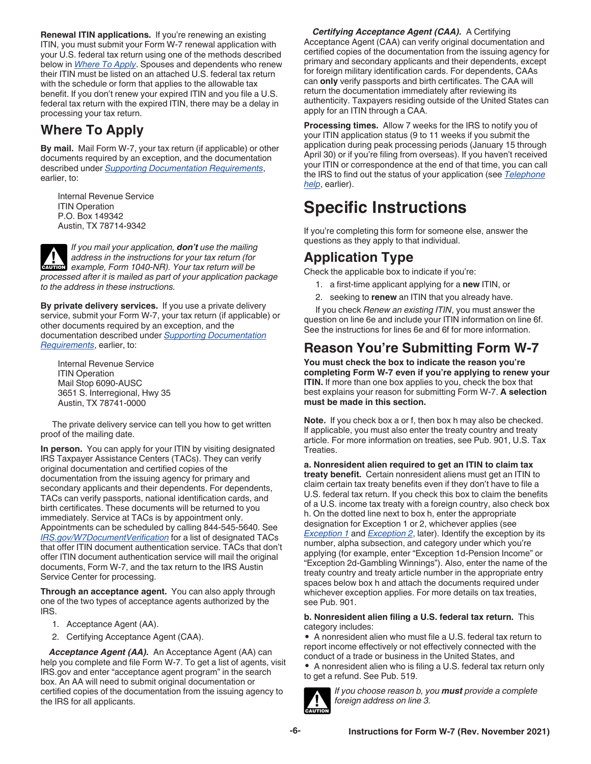<span id="page-5-0"></span>**Renewal ITIN applications.** If you're renewing an existing ITIN, you must submit your Form W-7 renewal application with your U.S. federal tax return using one of the methods described below in *Where To Apply*. Spouses and dependents who renew their ITIN must be listed on an attached U.S. federal tax return with the schedule or form that applies to the allowable tax benefit. If you don't renew your expired ITIN and you file a U.S. federal tax return with the expired ITIN, there may be a delay in processing your tax return.

## **Where To Apply**

**By mail.** Mail Form W-7, your tax return (if applicable) or other documents required by an exception, and the documentation described under *[Supporting Documentation Requirements](#page-2-0)*, earlier, to:

Internal Revenue Service **ITIN Operation** P.O. Box 149342 Austin, TX 78714-9342

*If you mail your application, don't use the mailing address in the instructions for your tax return (for*  **Particle 10 and** *example, Form 1040-NR). Your tax return will be a sample, Form 1040-NR). Your tax return will be processed after it is mailed as part of your application package to the address in these instructions.*

**By private delivery services.** If you use a private delivery service, submit your Form W-7, your tax return (if applicable) or other documents required by an exception, and the documentation described under *[Supporting Documentation](#page-2-0)  [Requirements](#page-2-0)*, earlier, to:

Internal Revenue Service ITIN Operation Mail Stop 6090-AUSC 3651 S. Interregional, Hwy 35 Austin, TX 78741-0000

The private delivery service can tell you how to get written proof of the mailing date.

**In person.** You can apply for your ITIN by visiting designated IRS Taxpayer Assistance Centers (TACs). They can verify original documentation and certified copies of the documentation from the issuing agency for primary and secondary applicants and their dependents. For dependents, TACs can verify passports, national identification cards, and birth certificates. These documents will be returned to you immediately. Service at TACs is by appointment only. Appointments can be scheduled by calling 844-545-5640. See *[IRS.gov/W7DocumentVerification](https://www.irs.gov/w7documentverification)* for a list of designated TACs that offer ITIN document authentication service. TACs that don't offer ITIN document authentication service will mail the original documents, Form W-7, and the tax return to the IRS Austin Service Center for processing.

**Through an acceptance agent.** You can also apply through one of the two types of acceptance agents authorized by the IRS.

- 1. Acceptance Agent (AA).
- 2. Certifying Acceptance Agent (CAA).

*Acceptance Agent (AA).* An Acceptance Agent (AA) can help you complete and file Form W-7. To get a list of agents, visit IRS.gov and enter "acceptance agent program" in the search box. An AA will need to submit original documentation or certified copies of the documentation from the issuing agency to the IRS for all applicants.

*Certifying Acceptance Agent (CAA).* A Certifying Acceptance Agent (CAA) can verify original documentation and certified copies of the documentation from the issuing agency for primary and secondary applicants and their dependents, except for foreign military identification cards. For dependents, CAAs can **only** verify passports and birth certificates. The CAA will return the documentation immediately after reviewing its authenticity. Taxpayers residing outside of the United States can apply for an ITIN through a CAA.

**Processing times.** Allow 7 weeks for the IRS to notify you of your ITIN application status (9 to 11 weeks if you submit the application during peak processing periods (January 15 through April 30) or if you're filing from overseas). If you haven't received your ITIN or correspondence at the end of that time, you can call the IRS to find out the status of your application (see *[Telephone](#page-2-0) [help](#page-2-0)*, earlier).

## **Specific Instructions**

If you're completing this form for someone else, answer the questions as they apply to that individual.

## **Application Type**

Check the applicable box to indicate if you're:

- 1. a first-time applicant applying for a **new** ITIN, or
- 2. seeking to **renew** an ITIN that you already have.

If you check *Renew an existing ITIN*, you must answer the question on line 6e and include your ITIN information on line 6f. See the instructions for lines 6e and 6f for more information.

## **Reason You're Submitting Form W-7**

**You must check the box to indicate the reason you're completing Form W-7 even if you're applying to renew your ITIN.** If more than one box applies to you, check the box that best explains your reason for submitting Form W-7. **A selection must be made in this section.**

**Note.** If you check box a or f, then box h may also be checked. If applicable, you must also enter the treaty country and treaty article. For more information on treaties, see Pub. 901, U.S. Tax Treaties.

**a. Nonresident alien required to get an ITIN to claim tax treaty benefit.** Certain nonresident aliens must get an ITIN to claim certain tax treaty benefits even if they don't have to file a U.S. federal tax return. If you check this box to claim the benefits of a U.S. income tax treaty with a foreign country, also check box h. On the dotted line next to box h, enter the appropriate designation for Exception 1 or 2, whichever applies (see *[Exception 1](#page-7-0)* and *[Exception 2](#page-7-0)*, later). Identify the exception by its number, alpha subsection, and category under which you're applying (for example, enter "Exception 1d-Pension Income" or "Exception 2d-Gambling Winnings"). Also, enter the name of the treaty country and treaty article number in the appropriate entry spaces below box h and attach the documents required under whichever exception applies. For more details on tax treaties, see Pub. 901.

#### **b. Nonresident alien filing a U.S. federal tax return.** This category includes:

• A nonresident alien who must file a U.S. federal tax return to report income effectively or not effectively connected with the conduct of a trade or business in the United States, and • A nonresident alien who is filing a U.S. federal tax return only

to get a refund. See Pub. 519.



*If you choose reason b, you must provide a complete foreign address on line 3.*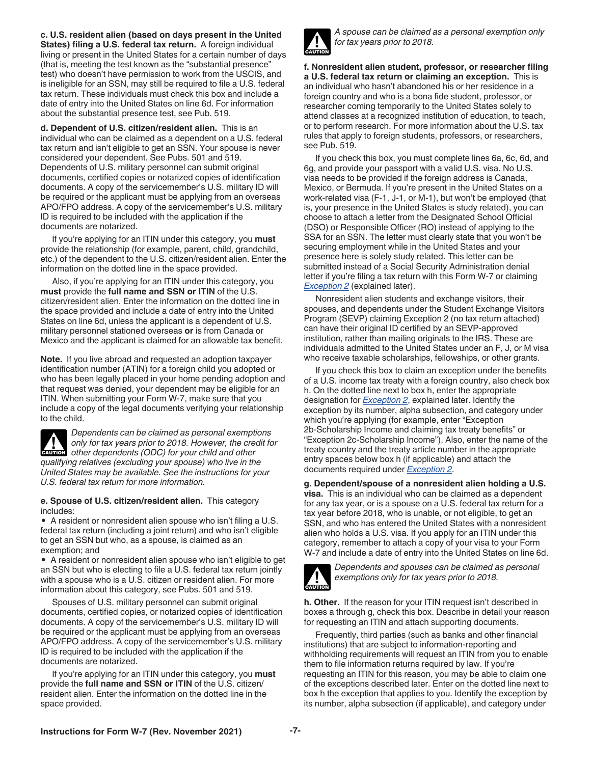<span id="page-6-0"></span>**c. U.S. resident alien (based on days present in the United States) filing a U.S. federal tax return.** A foreign individual living or present in the United States for a certain number of days (that is, meeting the test known as the "substantial presence" test) who doesn't have permission to work from the USCIS, and is ineligible for an SSN, may still be required to file a U.S. federal tax return. These individuals must check this box and include a date of entry into the United States on line 6d. For information about the substantial presence test, see Pub. 519.

**d. Dependent of U.S. citizen/resident alien.** This is an individual who can be claimed as a dependent on a U.S. federal tax return and isn't eligible to get an SSN. Your spouse is never considered your dependent. See Pubs. 501 and 519. Dependents of U.S. military personnel can submit original documents, certified copies or notarized copies of identification documents. A copy of the servicemember's U.S. military ID will be required or the applicant must be applying from an overseas APO/FPO address. A copy of the servicemember's U.S. military ID is required to be included with the application if the documents are notarized.

If you're applying for an ITIN under this category, you **must**  provide the relationship (for example, parent, child, grandchild, etc.) of the dependent to the U.S. citizen/resident alien. Enter the information on the dotted line in the space provided.

Also, if you're applying for an ITIN under this category, you **must** provide the **full name and SSN or ITIN** of the U.S. citizen/resident alien. Enter the information on the dotted line in the space provided and include a date of entry into the United States on line 6d, unless the applicant is a dependent of U.S. military personnel stationed overseas **or** is from Canada or Mexico and the applicant is claimed for an allowable tax benefit.

**Note.** If you live abroad and requested an adoption taxpayer identification number (ATIN) for a foreign child you adopted or who has been legally placed in your home pending adoption and that request was denied, your dependent may be eligible for an ITIN. When submitting your Form W-7, make sure that you include a copy of the legal documents verifying your relationship to the child.

*Dependents can be claimed as personal exemptions only for tax years prior to 2018. However, the credit for other dependents (ODC) for your child and other qualifying relatives (excluding your spouse) who live in the United States may be available. See the instructions for your U.S. federal tax return for more information.* **CAUTION !**

**e. Spouse of U.S. citizen/resident alien.** This category includes:

• A resident or nonresident alien spouse who isn't filing a U.S. federal tax return (including a joint return) and who isn't eligible to get an SSN but who, as a spouse, is claimed as an exemption; and

• A resident or nonresident alien spouse who isn't eligible to get an SSN but who is electing to file a U.S. federal tax return jointly with a spouse who is a U.S. citizen or resident alien. For more information about this category, see Pubs. 501 and 519.

Spouses of U.S. military personnel can submit original documents, certified copies, or notarized copies of identification documents. A copy of the servicemember's U.S. military ID will be required or the applicant must be applying from an overseas APO/FPO address. A copy of the servicemember's U.S. military ID is required to be included with the application if the documents are notarized.

If you're applying for an ITIN under this category, you **must**  provide the **full name and SSN or ITIN** of the U.S. citizen/ resident alien. Enter the information on the dotted line in the space provided.



*A spouse can be claimed as a personal exemption only for tax years prior to 2018.*

**f. Nonresident alien student, professor, or researcher filing a U.S. federal tax return or claiming an exception.** This is an individual who hasn't abandoned his or her residence in a foreign country and who is a bona fide student, professor, or researcher coming temporarily to the United States solely to attend classes at a recognized institution of education, to teach, or to perform research. For more information about the U.S. tax rules that apply to foreign students, professors, or researchers, see Pub. 519.

If you check this box, you must complete lines 6a, 6c, 6d, and 6g, and provide your passport with a valid U.S. visa. No U.S. visa needs to be provided if the foreign address is Canada, Mexico, or Bermuda. If you're present in the United States on a work-related visa (F-1, J-1, or M-1), but won't be employed (that is, your presence in the United States is study related), you can choose to attach a letter from the Designated School Official (DSO) or Responsible Officer (RO) instead of applying to the SSA for an SSN. The letter must clearly state that you won't be securing employment while in the United States and your presence here is solely study related. This letter can be submitted instead of a Social Security Administration denial letter if you're filing a tax return with this Form W-7 or claiming *[Exception 2](#page-7-0)* (explained later).

Nonresident alien students and exchange visitors, their spouses, and dependents under the Student Exchange Visitors Program (SEVP) claiming Exception 2 (no tax return attached) can have their original ID certified by an SEVP-approved institution, rather than mailing originals to the IRS. These are individuals admitted to the United States under an F, J, or M visa who receive taxable scholarships, fellowships, or other grants.

If you check this box to claim an exception under the benefits of a U.S. income tax treaty with a foreign country, also check box h. On the dotted line next to box h, enter the appropriate designation for *[Exception 2](#page-7-0)*, explained later. Identify the exception by its number, alpha subsection, and category under which you're applying (for example, enter "Exception 2b-Scholarship Income and claiming tax treaty benefits" or "Exception 2c-Scholarship Income"). Also, enter the name of the treaty country and the treaty article number in the appropriate entry spaces below box h (if applicable) and attach the documents required under *[Exception 2](#page-7-0)*.

**g. Dependent/spouse of a nonresident alien holding a U.S. visa.** This is an individual who can be claimed as a dependent for any tax year, or is a spouse on a U.S. federal tax return for a tax year before 2018, who is unable, or not eligible, to get an SSN, and who has entered the United States with a nonresident alien who holds a U.S. visa. If you apply for an ITIN under this category, remember to attach a copy of your visa to your Form W-7 and include a date of entry into the United States on line 6d.



*Dependents and spouses can be claimed as personal exemptions only for tax years prior to 2018.*

**h. Other.** If the reason for your ITIN request isn't described in boxes a through g, check this box. Describe in detail your reason for requesting an ITIN and attach supporting documents.

Frequently, third parties (such as banks and other financial institutions) that are subject to information-reporting and withholding requirements will request an ITIN from you to enable them to file information returns required by law. If you're requesting an ITIN for this reason, you may be able to claim one of the exceptions described later. Enter on the dotted line next to box h the exception that applies to you. Identify the exception by its number, alpha subsection (if applicable), and category under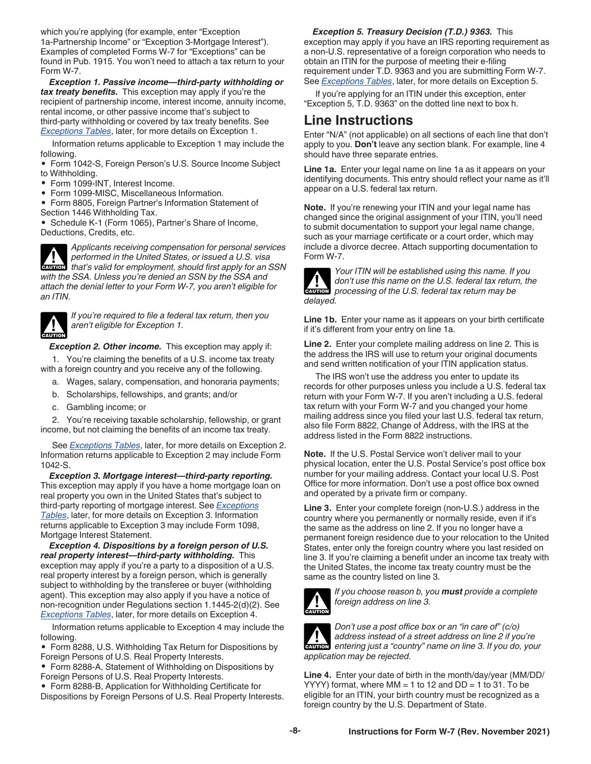<span id="page-7-0"></span>which you're applying (for example, enter "Exception 1a-Partnership Income" or "Exception 3-Mortgage Interest"). Examples of completed Forms W-7 for "Exceptions" can be found in Pub. 1915. You won't need to attach a tax return to your Form W-7.

*Exception 1. Passive income—third-party withholding or tax treaty benefits.* This exception may apply if you're the recipient of partnership income, interest income, annuity income, rental income, or other passive income that's subject to third-party withholding or covered by tax treaty benefits. See *[Exceptions Tables](#page-10-0)*, later, for more details on Exception 1.

Information returns applicable to Exception 1 may include the following.

• Form 1042-S, Foreign Person's U.S. Source Income Subject to Withholding.

- Form 1099-INT, Interest Income.
- Form 1099-MISC, Miscellaneous Information.

• Form 8805, Foreign Partner's Information Statement of Section 1446 Withholding Tax.

• Schedule K-1 (Form 1065), Partner's Share of Income, Deductions, Credits, etc.

*Applicants receiving compensation for personal services performed in the United States, or issued a U.S. visa*  **z** *that's valid for employment, should first apply for an SSN caution with the SSA. Unless you're denied an SSN by the SSA and attach the denial letter to your Form W-7, you aren't eligible for an ITIN.*



*If you're required to file a federal tax return, then you aren't eligible for Exception 1.*

*Exception 2. Other income.* This exception may apply if:

1. You're claiming the benefits of a U.S. income tax treaty with a foreign country and you receive any of the following.

- a. Wages, salary, compensation, and honoraria payments;
- b. Scholarships, fellowships, and grants; and/or
- c. Gambling income; or

2. You're receiving taxable scholarship, fellowship, or grant income, but not claiming the benefits of an income tax treaty.

See *[Exceptions Tables](#page-10-0)*, later, for more details on Exception 2. Information returns applicable to Exception 2 may include Form 1042-S.

*Exception 3. Mortgage interest—third-party reporting.*  This exception may apply if you have a home mortgage loan on real property you own in the United States that's subject to third-party reporting of mortgage interest. See *[Exceptions](#page-10-0) [Tables](#page-10-0)*, later, for more details on Exception 3. Information returns applicable to Exception 3 may include Form 1098, Mortgage Interest Statement.

*Exception 4. Dispositions by a foreign person of U.S. real property interest—third-party withholding.* This exception may apply if you're a party to a disposition of a U.S. real property interest by a foreign person, which is generally subject to withholding by the transferee or buyer (withholding agent). This exception may also apply if you have a notice of non-recognition under Regulations section 1.1445-2(d)(2). See *[Exceptions Tables](#page-10-0)*, later, for more details on Exception 4.

Information returns applicable to Exception 4 may include the following.

• Form 8288, U.S. Withholding Tax Return for Dispositions by Foreign Persons of U.S. Real Property Interests.

• Form 8288-A, Statement of Withholding on Dispositions by Foreign Persons of U.S. Real Property Interests.

• Form 8288-B, Application for Withholding Certificate for Dispositions by Foreign Persons of U.S. Real Property Interests.

#### *Exception 5. Treasury Decision (T.D.) 9363.* This

exception may apply if you have an IRS reporting requirement as a non-U.S. representative of a foreign corporation who needs to obtain an ITIN for the purpose of meeting their e-filing requirement under T.D. 9363 and you are submitting Form W-7. See *[Exceptions Tables](#page-10-0)*, later, for more details on Exception 5.

If you're applying for an ITIN under this exception, enter "Exception 5, T.D. 9363" on the dotted line next to box h.

### **Line Instructions**

Enter "N/A" (not applicable) on all sections of each line that don't apply to you. **Don't** leave any section blank. For example, line 4 should have three separate entries.

**Line 1a.** Enter your legal name on line 1a as it appears on your identifying documents. This entry should reflect your name as it'll appear on a U.S. federal tax return.

**Note.** If you're renewing your ITIN and your legal name has changed since the original assignment of your ITIN, you'll need to submit documentation to support your legal name change, such as your marriage certificate or a court order, which may include a divorce decree. Attach supporting documentation to Form W-7.



*Your ITIN will be established using this name. If you don't use this name on the U.S. federal tax return, the processing of the U.S. federal tax return may be delayed.*

**Line 1b.** Enter your name as it appears on your birth certificate if it's different from your entry on line 1a.

**Line 2.** Enter your complete mailing address on line 2. This is the address the IRS will use to return your original documents and send written notification of your ITIN application status.

The IRS won't use the address you enter to update its records for other purposes unless you include a U.S. federal tax return with your Form W-7. If you aren't including a U.S. federal tax return with your Form W-7 and you changed your home mailing address since you filed your last U.S. federal tax return, also file Form 8822, Change of Address, with the IRS at the address listed in the Form 8822 instructions.

**Note.** If the U.S. Postal Service won't deliver mail to your physical location, enter the U.S. Postal Service's post office box number for your mailing address. Contact your local U.S. Post Office for more information. Don't use a post office box owned and operated by a private firm or company.

**Line 3.** Enter your complete foreign (non-U.S.) address in the country where you permanently or normally reside, even if it's the same as the address on line 2. If you no longer have a permanent foreign residence due to your relocation to the United States, enter only the foreign country where you last resided on line 3. If you're claiming a benefit under an income tax treaty with the United States, the income tax treaty country must be the same as the country listed on line 3.



*If you choose reason b, you must provide a complete foreign address on line 3.*



*Don't use a post office box or an "in care of" (c/o) address instead of a street address on line 2 if you're entering just a "country" name on line 3. If you do, your application may be rejected.*

**Line 4.** Enter your date of birth in the month/day/year (MM/DD/ YYYY) format, where  $MM = 1$  to 12 and  $DD = 1$  to 31. To be eligible for an ITIN, your birth country must be recognized as a foreign country by the U.S. Department of State.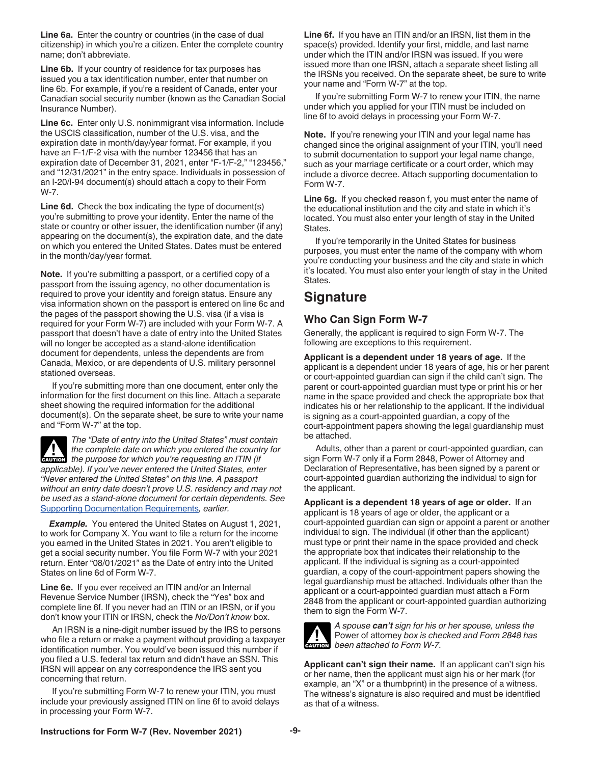<span id="page-8-0"></span>**Line 6a.** Enter the country or countries (in the case of dual citizenship) in which you're a citizen. Enter the complete country name; don't abbreviate.

**Line 6b.** If your country of residence for tax purposes has issued you a tax identification number, enter that number on line 6b. For example, if you're a resident of Canada, enter your Canadian social security number (known as the Canadian Social Insurance Number).

**Line 6c.** Enter only U.S. nonimmigrant visa information. Include the USCIS classification, number of the U.S. visa, and the expiration date in month/day/year format. For example, if you have an F-1/F-2 visa with the number 123456 that has an expiration date of December 31, 2021, enter "F-1/F-2," "123456," and "12/31/2021" in the entry space. Individuals in possession of an I-20/I-94 document(s) should attach a copy to their Form W-7.

**Line 6d.** Check the box indicating the type of document(s) you're submitting to prove your identity. Enter the name of the state or country or other issuer, the identification number (if any) appearing on the document(s), the expiration date, and the date on which you entered the United States. Dates must be entered in the month/day/year format.

**Note.** If you're submitting a passport, or a certified copy of a passport from the issuing agency, no other documentation is required to prove your identity and foreign status. Ensure any visa information shown on the passport is entered on line 6c and the pages of the passport showing the U.S. visa (if a visa is required for your Form W-7) are included with your Form W-7. A passport that doesn't have a date of entry into the United States will no longer be accepted as a stand-alone identification document for dependents, unless the dependents are from Canada, Mexico, or are dependents of U.S. military personnel stationed overseas.

If you're submitting more than one document, enter only the information for the first document on this line. Attach a separate sheet showing the required information for the additional document(s). On the separate sheet, be sure to write your name and "Form W-7" at the top.

*The "Date of entry into the United States" must contain the complete date on which you entered the country for*  **the complete date on which you entered the countries the purpose for which you're requesting an ITIN (if** *applicable). If you've never entered the United States, enter "Never entered the United States" on this line. A passport without an entry date doesn't prove U.S. residency and may not be used as a stand-alone document for certain dependents. See*  [Supporting Documentation Requirements](#page-2-0)*, earlier.*

*Example.* You entered the United States on August 1, 2021, to work for Company X. You want to file a return for the income you earned in the United States in 2021. You aren't eligible to get a social security number. You file Form W-7 with your 2021 return. Enter "08/01/2021" as the Date of entry into the United States on line 6d of Form W-7.

**Line 6e.** If you ever received an ITIN and/or an Internal Revenue Service Number (IRSN), check the "Yes" box and complete line 6f. If you never had an ITIN or an IRSN, or if you don't know your ITIN or IRSN, check the *No/Don't know* box.

An IRSN is a nine-digit number issued by the IRS to persons who file a return or make a payment without providing a taxpayer identification number. You would've been issued this number if you filed a U.S. federal tax return and didn't have an SSN. This IRSN will appear on any correspondence the IRS sent you concerning that return.

If you're submitting Form W-7 to renew your ITIN, you must include your previously assigned ITIN on line 6f to avoid delays in processing your Form W-7.

**Line 6f.** If you have an ITIN and/or an IRSN, list them in the space(s) provided. Identify your first, middle, and last name under which the ITIN and/or IRSN was issued. If you were issued more than one IRSN, attach a separate sheet listing all the IRSNs you received. On the separate sheet, be sure to write your name and "Form W-7" at the top.

If you're submitting Form W-7 to renew your ITIN, the name under which you applied for your ITIN must be included on line 6f to avoid delays in processing your Form W-7.

**Note.** If you're renewing your ITIN and your legal name has changed since the original assignment of your ITIN, you'll need to submit documentation to support your legal name change, such as your marriage certificate or a court order, which may include a divorce decree. Attach supporting documentation to Form W-7.

**Line 6g.** If you checked reason f, you must enter the name of the educational institution and the city and state in which it's located. You must also enter your length of stay in the United States.

If you're temporarily in the United States for business purposes, you must enter the name of the company with whom you're conducting your business and the city and state in which it's located. You must also enter your length of stay in the United States.

## **Signature**

### **Who Can Sign Form W-7**

Generally, the applicant is required to sign Form W-7. The following are exceptions to this requirement.

**Applicant is a dependent under 18 years of age.** If the applicant is a dependent under 18 years of age, his or her parent or court-appointed guardian can sign if the child can't sign. The parent or court-appointed guardian must type or print his or her name in the space provided and check the appropriate box that indicates his or her relationship to the applicant. If the individual is signing as a court-appointed guardian, a copy of the court-appointment papers showing the legal guardianship must be attached.

Adults, other than a parent or court-appointed guardian, can sign Form W-7 only if a Form 2848, Power of Attorney and Declaration of Representative, has been signed by a parent or court-appointed guardian authorizing the individual to sign for the applicant.

**Applicant is a dependent 18 years of age or older.** If an applicant is 18 years of age or older, the applicant or a court-appointed guardian can sign or appoint a parent or another individual to sign. The individual (if other than the applicant) must type or print their name in the space provided and check the appropriate box that indicates their relationship to the applicant. If the individual is signing as a court-appointed guardian, a copy of the court-appointment papers showing the legal guardianship must be attached. Individuals other than the applicant or a court-appointed guardian must attach a Form 2848 from the applicant or court-appointed guardian authorizing them to sign the Form W-7.



*A spouse can't sign for his or her spouse, unless the*  Power of attorney *box is checked and Form 2848 has been attached to Form W-7.*

**Applicant can't sign their name.** If an applicant can't sign his or her name, then the applicant must sign his or her mark (for example, an "X" or a thumbprint) in the presence of a witness. The witness's signature is also required and must be identified as that of a witness.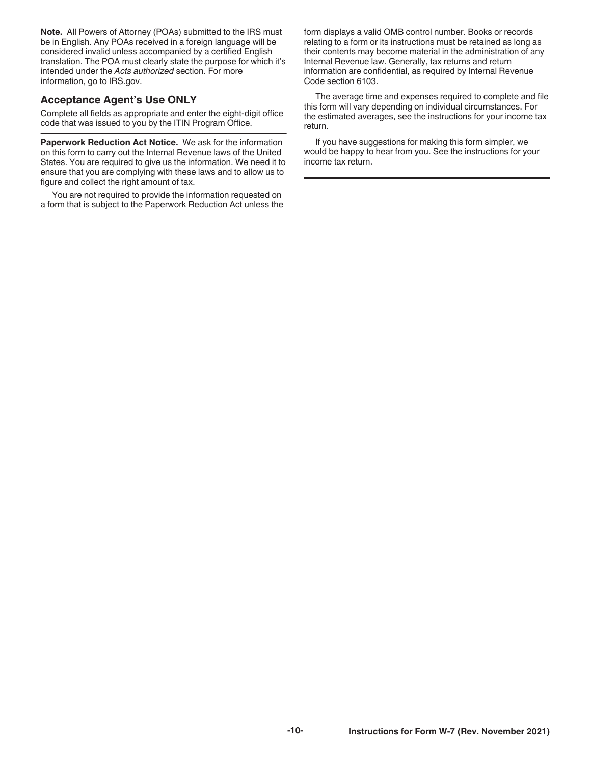**Note.** All Powers of Attorney (POAs) submitted to the IRS must be in English. Any POAs received in a foreign language will be considered invalid unless accompanied by a certified English translation. The POA must clearly state the purpose for which it's intended under the *Acts authorized* section. For more information, go to IRS.gov.

### **Acceptance Agent's Use ONLY**

Complete all fields as appropriate and enter the eight-digit office code that was issued to you by the ITIN Program Office.

**Paperwork Reduction Act Notice.** We ask for the information on this form to carry out the Internal Revenue laws of the United States. You are required to give us the information. We need it to ensure that you are complying with these laws and to allow us to figure and collect the right amount of tax.

You are not required to provide the information requested on a form that is subject to the Paperwork Reduction Act unless the form displays a valid OMB control number. Books or records relating to a form or its instructions must be retained as long as their contents may become material in the administration of any Internal Revenue law. Generally, tax returns and return information are confidential, as required by Internal Revenue Code section 6103.

The average time and expenses required to complete and file this form will vary depending on individual circumstances. For the estimated averages, see the instructions for your income tax return.

If you have suggestions for making this form simpler, we would be happy to hear from you. See the instructions for your income tax return.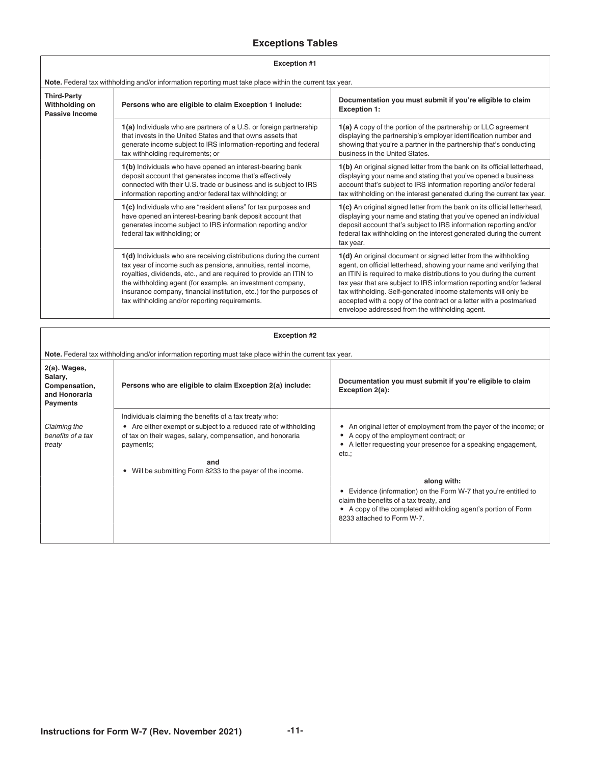### **Exceptions Tables**

<span id="page-10-0"></span>

| <b>Exception #1</b>                                    |                                                                                                                                                                                                                                                                                                                                                                                                    |                                                                                                                                                                                                                                                                                                                                                                                                                                                                                  |
|--------------------------------------------------------|----------------------------------------------------------------------------------------------------------------------------------------------------------------------------------------------------------------------------------------------------------------------------------------------------------------------------------------------------------------------------------------------------|----------------------------------------------------------------------------------------------------------------------------------------------------------------------------------------------------------------------------------------------------------------------------------------------------------------------------------------------------------------------------------------------------------------------------------------------------------------------------------|
|                                                        | Note. Federal tax withholding and/or information reporting must take place within the current tax year.                                                                                                                                                                                                                                                                                            |                                                                                                                                                                                                                                                                                                                                                                                                                                                                                  |
| <b>Third-Party</b><br>Withholding on<br>Passive Income | Persons who are eligible to claim Exception 1 include:                                                                                                                                                                                                                                                                                                                                             | Documentation you must submit if you're eligible to claim<br><b>Exception 1:</b>                                                                                                                                                                                                                                                                                                                                                                                                 |
|                                                        | 1(a) Individuals who are partners of a U.S. or foreign partnership<br>that invests in the United States and that owns assets that<br>generate income subject to IRS information-reporting and federal<br>tax withholding requirements; or                                                                                                                                                          | 1(a) A copy of the portion of the partnership or LLC agreement<br>displaying the partnership's employer identification number and<br>showing that you're a partner in the partnership that's conducting<br>business in the United States.                                                                                                                                                                                                                                        |
|                                                        | 1(b) Individuals who have opened an interest-bearing bank<br>deposit account that generates income that's effectively<br>connected with their U.S. trade or business and is subject to IRS<br>information reporting and/or federal tax withholding; or                                                                                                                                             | 1(b) An original signed letter from the bank on its official letterhead,<br>displaying your name and stating that you've opened a business<br>account that's subject to IRS information reporting and/or federal<br>tax withholding on the interest generated during the current tax year.                                                                                                                                                                                       |
|                                                        | 1(c) Individuals who are "resident aliens" for tax purposes and<br>have opened an interest-bearing bank deposit account that<br>generates income subject to IRS information reporting and/or<br>federal tax withholding; or                                                                                                                                                                        | 1(c) An original signed letter from the bank on its official letterhead,<br>displaying your name and stating that you've opened an individual<br>deposit account that's subject to IRS information reporting and/or<br>federal tax withholding on the interest generated during the current<br>tax year.                                                                                                                                                                         |
|                                                        | 1(d) Individuals who are receiving distributions during the current<br>tax year of income such as pensions, annuities, rental income,<br>royalties, dividends, etc., and are required to provide an ITIN to<br>the withholding agent (for example, an investment company,<br>insurance company, financial institution, etc.) for the purposes of<br>tax withholding and/or reporting requirements. | 1(d) An original document or signed letter from the withholding<br>agent, on official letterhead, showing your name and verifying that<br>an ITIN is required to make distributions to you during the current<br>tax year that are subject to IRS information reporting and/or federal<br>tax withholding. Self-generated income statements will only be<br>accepted with a copy of the contract or a letter with a postmarked<br>envelope addressed from the withholding agent. |

|                                                                              | <b>Exception #2</b>                                                                                                                                                                                                                                                          |                                                                                                                                                                                                         |  |
|------------------------------------------------------------------------------|------------------------------------------------------------------------------------------------------------------------------------------------------------------------------------------------------------------------------------------------------------------------------|---------------------------------------------------------------------------------------------------------------------------------------------------------------------------------------------------------|--|
|                                                                              | Note. Federal tax withholding and/or information reporting must take place within the current tax year.                                                                                                                                                                      |                                                                                                                                                                                                         |  |
| 2(a). Wages,<br>Salary,<br>Compensation,<br>and Honoraria<br><b>Payments</b> | Persons who are eligible to claim Exception 2(a) include:                                                                                                                                                                                                                    | Documentation you must submit if you're eligible to claim<br>Exception 2(a):                                                                                                                            |  |
| Claiming the<br>benefits of a tax<br>treaty                                  | Individuals claiming the benefits of a tax treaty who:<br>• Are either exempt or subject to a reduced rate of withholding<br>of tax on their wages, salary, compensation, and honoraria<br>payments;<br>and<br>Will be submitting Form 8233 to the payer of the income.<br>٠ | An original letter of employment from the payer of the income; or<br>A copy of the employment contract; or<br>A letter requesting your presence for a speaking engagement,<br>etc.:<br>along with:      |  |
|                                                                              |                                                                                                                                                                                                                                                                              | Evidence (information) on the Form W-7 that you're entitled to<br>claim the benefits of a tax treaty, and<br>• A copy of the completed withholding agent's portion of Form<br>8233 attached to Form W-7 |  |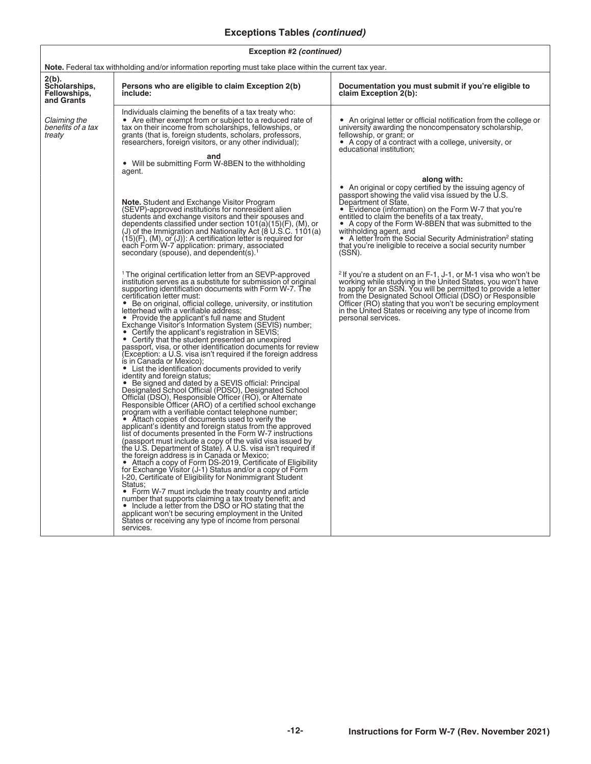### **Exceptions Tables** *(continued)*

| Exception #2 (continued) |  |
|--------------------------|--|
|--------------------------|--|

| <b>Note.</b> Federal tax withholding and/or information reporting must take place within the current tax year. |                                                                                                                                                                                                                                                                                                                                                                                                                                                                                                                                                                                                                                                                                                                                                                                                                                                                                                                                                                                                                                                                                                                                                                                                                                                                                                                                                                                                                                                                                                                                                                                                                                                                                                                                                                                                                                                                                                                                                                                         |                                                                                                                                                                                                                                                                                                                                                                                                                                                                                                        |
|----------------------------------------------------------------------------------------------------------------|-----------------------------------------------------------------------------------------------------------------------------------------------------------------------------------------------------------------------------------------------------------------------------------------------------------------------------------------------------------------------------------------------------------------------------------------------------------------------------------------------------------------------------------------------------------------------------------------------------------------------------------------------------------------------------------------------------------------------------------------------------------------------------------------------------------------------------------------------------------------------------------------------------------------------------------------------------------------------------------------------------------------------------------------------------------------------------------------------------------------------------------------------------------------------------------------------------------------------------------------------------------------------------------------------------------------------------------------------------------------------------------------------------------------------------------------------------------------------------------------------------------------------------------------------------------------------------------------------------------------------------------------------------------------------------------------------------------------------------------------------------------------------------------------------------------------------------------------------------------------------------------------------------------------------------------------------------------------------------------------|--------------------------------------------------------------------------------------------------------------------------------------------------------------------------------------------------------------------------------------------------------------------------------------------------------------------------------------------------------------------------------------------------------------------------------------------------------------------------------------------------------|
| 2(b).<br>Scholarships,<br>Fellowships,<br>and Grants                                                           | Persons who are eligible to claim Exception 2(b)<br>include:                                                                                                                                                                                                                                                                                                                                                                                                                                                                                                                                                                                                                                                                                                                                                                                                                                                                                                                                                                                                                                                                                                                                                                                                                                                                                                                                                                                                                                                                                                                                                                                                                                                                                                                                                                                                                                                                                                                            | Documentation you must submit if you're eligible to<br>claim Exception 2(b):                                                                                                                                                                                                                                                                                                                                                                                                                           |
| Claiming the<br>benefits of a tax<br>treaty                                                                    | Individuals claiming the benefits of a tax treaty who:<br>• Are either exempt from or subject to a reduced rate of<br>tax on their income from scholarships, fellowships, or<br>grants (that is, foreign students, scholars, professors,<br>researchers, foreign visitors, or any other individual);<br>and                                                                                                                                                                                                                                                                                                                                                                                                                                                                                                                                                                                                                                                                                                                                                                                                                                                                                                                                                                                                                                                                                                                                                                                                                                                                                                                                                                                                                                                                                                                                                                                                                                                                             | • An original letter or official notification from the college or<br>university awarding the noncompensatory scholarship,<br>fellowship, or grant; or<br>• A copy of a contract with a college, university, or<br>educational institution;                                                                                                                                                                                                                                                             |
|                                                                                                                | • Will be submitting Form W-8BEN to the withholding<br>agent.                                                                                                                                                                                                                                                                                                                                                                                                                                                                                                                                                                                                                                                                                                                                                                                                                                                                                                                                                                                                                                                                                                                                                                                                                                                                                                                                                                                                                                                                                                                                                                                                                                                                                                                                                                                                                                                                                                                           |                                                                                                                                                                                                                                                                                                                                                                                                                                                                                                        |
|                                                                                                                | <b>Note.</b> Student and Exchange Visitor Program<br>(SEVP)-approved institutions for nonresident alien<br>students and exchange visitors and their spouses and<br>dependents classified under section 101(a)(15)(F), (M), or<br>(J) of the Immigration and Nationality Act (8 U.S.C. 1101(a)<br>$(15)(F)$ , $(M)$ , or $(J)$ : A certification letter is required for<br>each Form W-7 application: primary, associated<br>secondary (spouse), and dependent(s). <sup>1</sup>                                                                                                                                                                                                                                                                                                                                                                                                                                                                                                                                                                                                                                                                                                                                                                                                                                                                                                                                                                                                                                                                                                                                                                                                                                                                                                                                                                                                                                                                                                          | along with:<br>• An original or copy certified by the issuing agency of<br>passport showing the valid visa issued by the U.S.<br>Department of State,<br>• Evidence (information) on the Form W-7 that you're<br>entitled to claim the benefits of a tax treaty,<br>• A copy of the Form W-8BEN that was submitted to the<br>withholding agent, and<br>• A letter from the Social Security Administration <sup>2</sup> stating<br>that you're ineligible to receive a social security number<br>(SSN). |
|                                                                                                                | <sup>1</sup> The original certification letter from an SEVP-approved<br>institution serves as a substitute for submission of original<br>supporting identification documents with Form W-7. The<br>certification letter must:<br>• Be on original, official college, university, or institution<br>letterhead with a verifiable address;<br>• Provide the applicant's full name and Student<br>Exchange Visitor's Information System (SEVIS) number;<br>• Certify the applicant's registration in SEVIS;<br>• Certify that the student presented an unexpired<br>passport, visa, or other identification documents for review<br>(Exception: a U.S. visa isn't required if the foreign address<br>is in Canada or Mexico);<br>• List the identification documents provided to verify<br>identity and foreign status;<br>• Be signed and dated by a SEVIS official: Principal<br>Designated School Official (PDSO), Designated School<br>Official (DSO), Responsible Officer (RO), or Alternate<br>Responsible Officer (ARO) of a certified school exchange<br>program with a verifiable contact telephone number;<br>• Attach copies of documents used to verify the<br>applicant's identity and foreign status from the approved<br>list of documents presented in the Form W-7 instructions<br>(passport must include a copy of the valid visa issued by<br>the U.S. Department of State). A U.S. visa isn't required if<br>the foreign address is in Canada or Mexico;<br>• Attach a copy of Form DS-2019, Certificate of Eligibility<br>for Exchange Visitor (J-1) Status and/or a copy of Form<br>I-20, Certificate of Eligibility for Nonimmigrant Student<br>Status:<br>• Form W-7 must include the treaty country and article<br>number that supports claiming a tax treaty benefit; and<br>• Include a letter from the DSO or RO stating that the<br>applicant won't be securing employment in the United<br>States or receiving any type of income from personal<br>services. | <sup>2</sup> If you're a student on an F-1, J-1, or M-1 visa who won't be<br>working while studying in the United States, you won't have<br>to apply for an SSN. You will be permitted to provide a letter<br>from the Designated School Official (DSO) or Responsible<br>Officer (RO) stating that you won't be securing employment<br>in the United States or receiving any type of income from<br>personal services.                                                                                |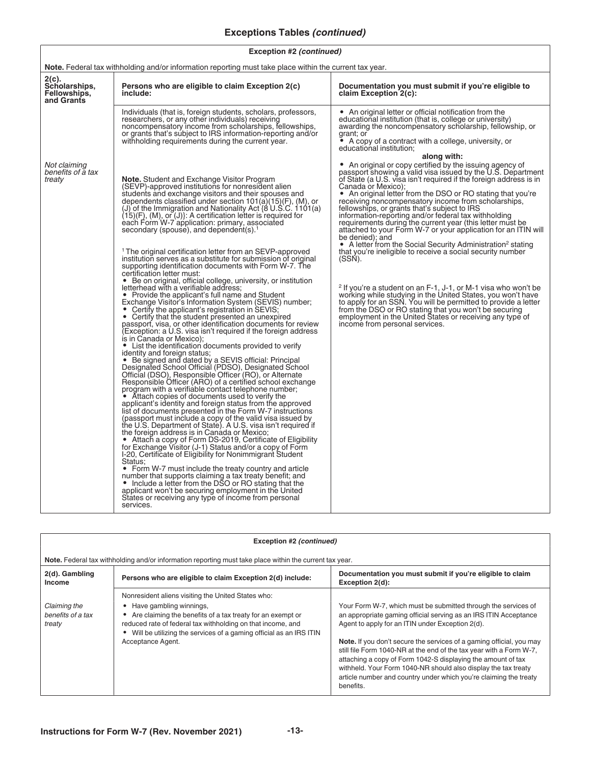### **Exceptions Tables** *(continued)*

| Exception #2 (continued) |  |
|--------------------------|--|
|--------------------------|--|

| <b>Note.</b> Federal tax withholding and/or information reporting must take place within the current tax year. |                                                                                                                                                                                                                                                                                                                                                                                                                                                                                                                                                                                                                                                                                                                                                                                                                                                                                                                                                                                                                                                                                                                                                                                                                                                                                                                                                                                                                                                                                                                                                                                                                                                                                                                                                                                                                                                                                                                                                                                                                                                                                                                                                                                                                                                                                                                                                                                                                                                             |                                                                                                                                                                                                                                                                                                                                                                                                                                                                                                                                                                                                                                                                                                                                                                                                                                                                                                                                                                                                                                                                                                                                           |  |
|----------------------------------------------------------------------------------------------------------------|-------------------------------------------------------------------------------------------------------------------------------------------------------------------------------------------------------------------------------------------------------------------------------------------------------------------------------------------------------------------------------------------------------------------------------------------------------------------------------------------------------------------------------------------------------------------------------------------------------------------------------------------------------------------------------------------------------------------------------------------------------------------------------------------------------------------------------------------------------------------------------------------------------------------------------------------------------------------------------------------------------------------------------------------------------------------------------------------------------------------------------------------------------------------------------------------------------------------------------------------------------------------------------------------------------------------------------------------------------------------------------------------------------------------------------------------------------------------------------------------------------------------------------------------------------------------------------------------------------------------------------------------------------------------------------------------------------------------------------------------------------------------------------------------------------------------------------------------------------------------------------------------------------------------------------------------------------------------------------------------------------------------------------------------------------------------------------------------------------------------------------------------------------------------------------------------------------------------------------------------------------------------------------------------------------------------------------------------------------------------------------------------------------------------------------------------------------------|-------------------------------------------------------------------------------------------------------------------------------------------------------------------------------------------------------------------------------------------------------------------------------------------------------------------------------------------------------------------------------------------------------------------------------------------------------------------------------------------------------------------------------------------------------------------------------------------------------------------------------------------------------------------------------------------------------------------------------------------------------------------------------------------------------------------------------------------------------------------------------------------------------------------------------------------------------------------------------------------------------------------------------------------------------------------------------------------------------------------------------------------|--|
| 2(c).<br>Scholarships,<br>Fellowships,<br>and Grants                                                           | Persons who are eligible to claim Exception 2(c)<br>include:                                                                                                                                                                                                                                                                                                                                                                                                                                                                                                                                                                                                                                                                                                                                                                                                                                                                                                                                                                                                                                                                                                                                                                                                                                                                                                                                                                                                                                                                                                                                                                                                                                                                                                                                                                                                                                                                                                                                                                                                                                                                                                                                                                                                                                                                                                                                                                                                | Documentation you must submit if you're eligible to<br>claim Exception 2(c):                                                                                                                                                                                                                                                                                                                                                                                                                                                                                                                                                                                                                                                                                                                                                                                                                                                                                                                                                                                                                                                              |  |
|                                                                                                                | Individuals (that is, foreign students, scholars, professors,<br>researchers, or any other individuals) receiving<br>noncompensatory income from scholarships, fellowships,<br>or grants that's subject to IRS information-reporting and/or<br>withholding requirements during the current year.                                                                                                                                                                                                                                                                                                                                                                                                                                                                                                                                                                                                                                                                                                                                                                                                                                                                                                                                                                                                                                                                                                                                                                                                                                                                                                                                                                                                                                                                                                                                                                                                                                                                                                                                                                                                                                                                                                                                                                                                                                                                                                                                                            | • An original letter or official notification from the<br>educational institution (that is, college or university)<br>awarding the noncompensatory scholarship, fellowship, or<br>grant; or<br>• A copy of a contract with a college, university, or<br>educational institution;                                                                                                                                                                                                                                                                                                                                                                                                                                                                                                                                                                                                                                                                                                                                                                                                                                                          |  |
| Not claiming<br>benefits of a tax<br>treaty                                                                    | <b>Note.</b> Student and Exchange Visitor Program<br>(SEVP)-approved institutions for nonresident alien<br>students and exchange visitors and their spouses and<br>dependents classified under section 101(a)(15)(F), (M), or<br>(J) of the Immigration and Nationality Act (8 U.S.C. 1101(a)<br>$(15)(F)$ , (M), or (J)}: A certification letter is required for<br>each Form W-7 application: primary, associated<br>secondary (spouse), and dependent(s). $1$<br><sup>1</sup> The original certification letter from an SEVP-approved<br>institution serves as a substitute for submission of original<br>supporting identification documents with Form W-7. The<br>certification letter must:<br>• Be on original, official college, university, or institution<br>letterhead with a verifiable address;<br>• Provide the applicant's full name and Student<br>Exchange Visitor's Information System (SEVIS) number;<br>• Certify the applicant's registration in SEVIS;<br>• Certify that the student presented an unexpired<br>passport, visa, or other identification documents for review<br>(Exception: a U.S. visa isn't required if the foreign address<br>is in Canada or Mexico);<br>• List the identification documents provided to verify<br>identity and foreign status;<br>• Be signed and dated by a SEVIS official: Principal<br>Designated School Official (PDSO), Designated School<br>Official (DSO), Responsible Officer (RO), or Alternate<br>Responsible Officer (ARO) of a certified school exchange<br>program with a verifiable contact telephone number;<br>• Attach copies of documents used to verify the<br>applicant's identity and foreign status from the approved<br>list of documents presented in the Form W-7 instructions<br>(passport must include a copy of the valid visa issued by<br>the U.S. Department of State). A U.S. visa isn't required if<br>the foreign address is in Canada or Mexico;<br>• Attach a copy of Form DS-2019, Certificate of Eligibility<br>for Exchange Visitor (J-1) Status and/or a copy of Form<br>I-20, Certificate of Eligibility for Nonimmigrant Student<br>Status:<br>• Form W-7 must include the treaty country and article<br>number that supports claiming a tax treaty benefit; and<br>• Include a letter from the DSO or RO stating that the<br>applicant won't be securing employment in the United<br>States or receiving any type of income from personal<br>services. | along with:<br>• An original or copy certified by the issuing agency of<br>passport showing a valid visa issued by the U.S. Department<br>of State (a U.S. visa isn't required if the foreign address is in<br>Canada or Mexico);<br>• An original letter from the DSO or RO stating that you're<br>receiving noncompensatory income from scholarships,<br>fellowships, or grants that's subject to IRS<br>information-reporting and/or federal tax withholding<br>requirements during the current year (this letter must be<br>attached to your Form W-7 or your application for an ITIN will<br>be denied); and<br>• A letter from the Social Security Administration <sup>2</sup> stating<br>that you're ineligible to receive a social security number<br>(SSN).<br><sup>2</sup> If you're a student on an F-1, J-1, or M-1 visa who won't be<br>working while studying in the United States, you won't have<br>to apply for an SSN. You will be permitted to provide a letter<br>from the DSO or RO stating that you won't be securing<br>employment in the United States or receiving any type of<br>income from personal services. |  |

| Exception #2 (continued)                    |                                                                                                                                                                                                                                                                                                       |                                                                                                                                                                                                                                                                                                                                                                                                                                                                                                                                                                  |
|---------------------------------------------|-------------------------------------------------------------------------------------------------------------------------------------------------------------------------------------------------------------------------------------------------------------------------------------------------------|------------------------------------------------------------------------------------------------------------------------------------------------------------------------------------------------------------------------------------------------------------------------------------------------------------------------------------------------------------------------------------------------------------------------------------------------------------------------------------------------------------------------------------------------------------------|
|                                             | Note. Federal tax withholding and/or information reporting must take place within the current tax year.                                                                                                                                                                                               |                                                                                                                                                                                                                                                                                                                                                                                                                                                                                                                                                                  |
| 2(d). Gambling<br><b>Income</b>             | Persons who are eligible to claim Exception 2(d) include:                                                                                                                                                                                                                                             | Documentation you must submit if you're eligible to claim<br>Exception 2(d):                                                                                                                                                                                                                                                                                                                                                                                                                                                                                     |
| Claiming the<br>benefits of a tax<br>treaty | Nonresident aliens visiting the United States who:<br>Have gambling winnings,<br>Are claiming the benefits of a tax treaty for an exempt or<br>reduced rate of federal tax withholding on that income, and<br>Will be utilizing the services of a gaming official as an IRS ITIN<br>Acceptance Agent. | Your Form W-7, which must be submitted through the services of<br>an appropriate gaming official serving as an IRS ITIN Acceptance<br>Agent to apply for an ITIN under Exception 2(d).<br><b>Note.</b> If you don't secure the services of a gaming official, you may<br>still file Form 1040-NR at the end of the tax year with a Form W-7,<br>attaching a copy of Form 1042-S displaying the amount of tax<br>withheld. Your Form 1040-NR should also display the tax treaty<br>article number and country under which you're claiming the treaty<br>benefits. |